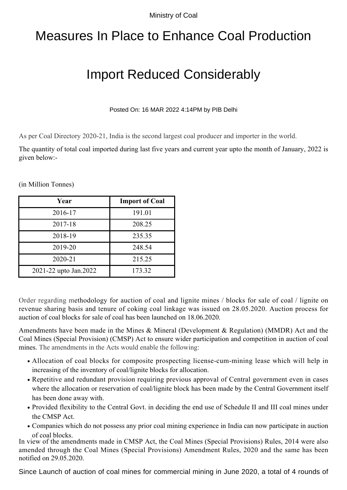Ministry of Coal

## Measures In Place to Enhance Coal Production

## Import Reduced Considerably

Posted On: 16 MAR 2022 4:14PM by PIB Delhi

As per Coal Directory 2020-21, India is the second largest coal producer and importer in the world.

The quantity of total coal imported during last five years and current year upto the month of January, 2022 is given below:-

(in Million Tonnes)

| Year                  | <b>Import of Coal</b> |
|-----------------------|-----------------------|
| 2016-17               | 191.01                |
| 2017-18               | 208.25                |
| 2018-19               | 235.35                |
| 2019-20               | 248.54                |
| 2020-21               | 215.25                |
| 2021-22 upto Jan.2022 | 173.32                |

Order regarding methodology for auction of coal and lignite mines / blocks for sale of coal / lignite on revenue sharing basis and tenure of coking coal linkage was issued on 28.05.2020. Auction process for auction of coal blocks for sale of coal has been launched on 18.06.2020.

Amendments have been made in the Mines & Mineral (Development & Regulation) (MMDR) Act and the Coal Mines (Special Provision) (CMSP) Act to ensure wider participation and competition in auction of coal mines. The amendments in the Acts would enable the following:

- Allocation of coal blocks for composite prospecting license-cum-mining lease which will help in increasing of the inventory of coal/lignite blocks for allocation.
- Repetitive and redundant provision requiring previous approval of Central government even in cases where the allocation or reservation of coal/lignite block has been made by the Central Government itself has been done away with.
- Provided flexibility to the Central Govt. in deciding the end use of Schedule II and III coal mines under the CMSP Act.
- Companies which do not possess any prior coal mining experience in India can now participate in auction of coal blocks.

In view of the amendments made in CMSP Act, the Coal Mines (Special Provisions) Rules, 2014 were also amended through the Coal Mines (Special Provisions) Amendment Rules, 2020 and the same has been notified on 29.05.2020.

Since Launch of auction of coal mines for commercial mining in June 2020, a total of 4 rounds of